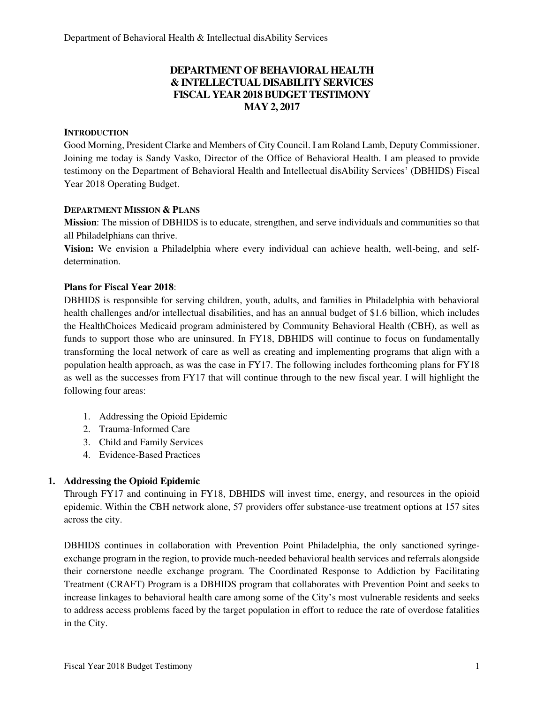## **DEPARTMENT OF BEHAVIORAL HEALTH & INTELLECTUAL DISABILITY SERVICES FISCAL YEAR 2018 BUDGET TESTIMONY MAY 2, 2017**

#### **INTRODUCTION**

Good Morning, President Clarke and Members of City Council. I am Roland Lamb, Deputy Commissioner. Joining me today is Sandy Vasko, Director of the Office of Behavioral Health. I am pleased to provide testimony on the Department of Behavioral Health and Intellectual disAbility Services' (DBHIDS) Fiscal Year 2018 Operating Budget.

### **DEPARTMENT MISSION & PLANS**

**Mission**: The mission of DBHIDS is to educate, strengthen, and serve individuals and communities so that all Philadelphians can thrive.

**Vision:** We envision a Philadelphia where every individual can achieve health, well-being, and selfdetermination.

### **Plans for Fiscal Year 2018**:

DBHIDS is responsible for serving children, youth, adults, and families in Philadelphia with behavioral health challenges and/or intellectual disabilities, and has an annual budget of \$1.6 billion, which includes the HealthChoices Medicaid program administered by Community Behavioral Health (CBH), as well as funds to support those who are uninsured. In FY18, DBHIDS will continue to focus on fundamentally transforming the local network of care as well as creating and implementing programs that align with a population health approach, as was the case in FY17. The following includes forthcoming plans for FY18 as well as the successes from FY17 that will continue through to the new fiscal year. I will highlight the following four areas:

- 1. Addressing the Opioid Epidemic
- 2. Trauma-Informed Care
- 3. Child and Family Services
- 4. Evidence-Based Practices

### **1. Addressing the Opioid Epidemic**

Through FY17 and continuing in FY18, DBHIDS will invest time, energy, and resources in the opioid epidemic. Within the CBH network alone, 57 providers offer substance-use treatment options at 157 sites across the city.

DBHIDS continues in collaboration with Prevention Point Philadelphia, the only sanctioned syringeexchange program in the region, to provide much-needed behavioral health services and referrals alongside their cornerstone needle exchange program. The Coordinated Response to Addiction by Facilitating Treatment (CRAFT) Program is a DBHIDS program that collaborates with Prevention Point and seeks to increase linkages to behavioral health care among some of the City's most vulnerable residents and seeks to address access problems faced by the target population in effort to reduce the rate of overdose fatalities in the City.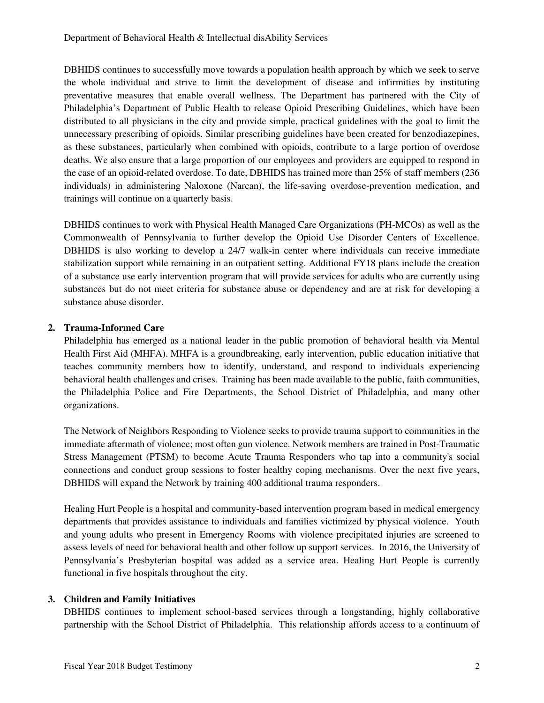DBHIDS continues to successfully move towards a population health approach by which we seek to serve the whole individual and strive to limit the development of disease and infirmities by instituting preventative measures that enable overall wellness. The Department has partnered with the City of Philadelphia's Department of Public Health to release Opioid Prescribing Guidelines, which have been distributed to all physicians in the city and provide simple, practical guidelines with the goal to limit the unnecessary prescribing of opioids. Similar prescribing guidelines have been created for benzodiazepines, as these substances, particularly when combined with opioids, contribute to a large portion of overdose deaths. We also ensure that a large proportion of our employees and providers are equipped to respond in the case of an opioid-related overdose. To date, DBHIDS has trained more than 25% of staff members (236 individuals) in administering Naloxone (Narcan), the life-saving overdose-prevention medication, and trainings will continue on a quarterly basis.

DBHIDS continues to work with Physical Health Managed Care Organizations (PH-MCOs) as well as the Commonwealth of Pennsylvania to further develop the Opioid Use Disorder Centers of Excellence. DBHIDS is also working to develop a 24/7 walk-in center where individuals can receive immediate stabilization support while remaining in an outpatient setting. Additional FY18 plans include the creation of a substance use early intervention program that will provide services for adults who are currently using substances but do not meet criteria for substance abuse or dependency and are at risk for developing a substance abuse disorder.

### **2. Trauma-Informed Care**

Philadelphia has emerged as a national leader in the public promotion of behavioral health via Mental Health First Aid (MHFA). MHFA is a groundbreaking, early intervention, public education initiative that teaches community members how to identify, understand, and respond to individuals experiencing behavioral health challenges and crises. Training has been made available to the public, faith communities, the Philadelphia Police and Fire Departments, the School District of Philadelphia, and many other organizations.

The Network of Neighbors Responding to Violence seeks to provide trauma support to communities in the immediate aftermath of violence; most often gun violence. Network members are trained in Post-Traumatic Stress Management (PTSM) to become Acute Trauma Responders who tap into a community's social connections and conduct group sessions to foster healthy coping mechanisms. Over the next five years, DBHIDS will expand the Network by training 400 additional trauma responders.

Healing Hurt People is a hospital and community-based intervention program based in medical emergency departments that provides assistance to individuals and families victimized by physical violence. Youth and young adults who present in Emergency Rooms with violence precipitated injuries are screened to assess levels of need for behavioral health and other follow up support services. In 2016, the University of Pennsylvania's Presbyterian hospital was added as a service area. Healing Hurt People is currently functional in five hospitals throughout the city.

### **3. Children and Family Initiatives**

DBHIDS continues to implement school-based services through a longstanding, highly collaborative partnership with the School District of Philadelphia. This relationship affords access to a continuum of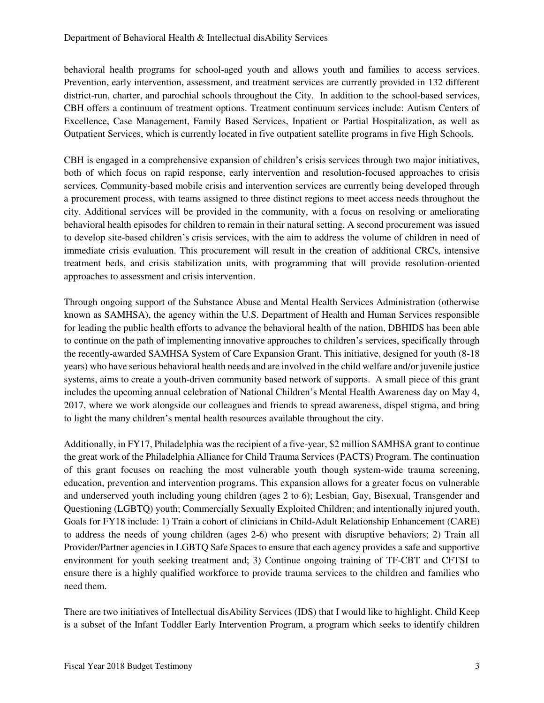behavioral health programs for school-aged youth and allows youth and families to access services. Prevention, early intervention, assessment, and treatment services are currently provided in 132 different district-run, charter, and parochial schools throughout the City. In addition to the school-based services, CBH offers a continuum of treatment options. Treatment continuum services include: Autism Centers of Excellence, Case Management, Family Based Services, Inpatient or Partial Hospitalization, as well as Outpatient Services, which is currently located in five outpatient satellite programs in five High Schools.

CBH is engaged in a comprehensive expansion of children's crisis services through two major initiatives, both of which focus on rapid response, early intervention and resolution-focused approaches to crisis services. Community-based mobile crisis and intervention services are currently being developed through a procurement process, with teams assigned to three distinct regions to meet access needs throughout the city. Additional services will be provided in the community, with a focus on resolving or ameliorating behavioral health episodes for children to remain in their natural setting. A second procurement was issued to develop site-based children's crisis services, with the aim to address the volume of children in need of immediate crisis evaluation. This procurement will result in the creation of additional CRCs, intensive treatment beds, and crisis stabilization units, with programming that will provide resolution-oriented approaches to assessment and crisis intervention.

Through ongoing support of the Substance Abuse and Mental Health Services Administration (otherwise known as SAMHSA), the agency within the U.S. Department of Health and Human Services responsible for leading the public health efforts to advance the behavioral health of the nation, DBHIDS has been able to continue on the path of implementing innovative approaches to children's services, specifically through the recently-awarded SAMHSA System of Care Expansion Grant. This initiative, designed for youth (8-18 years) who have serious behavioral health needs and are involved in the child welfare and/or juvenile justice systems, aims to create a youth-driven community based network of supports. A small piece of this grant includes the upcoming annual celebration of National Children's Mental Health Awareness day on May 4, 2017, where we work alongside our colleagues and friends to spread awareness, dispel stigma, and bring to light the many children's mental health resources available throughout the city.

Additionally, in FY17, Philadelphia was the recipient of a five-year, \$2 million SAMHSA grant to continue the great work of the Philadelphia Alliance for Child Trauma Services (PACTS) Program. The continuation of this grant focuses on reaching the most vulnerable youth though system-wide trauma screening, education, prevention and intervention programs. This expansion allows for a greater focus on vulnerable and underserved youth including young children (ages 2 to 6); Lesbian, Gay, Bisexual, Transgender and Questioning (LGBTQ) youth; Commercially Sexually Exploited Children; and intentionally injured youth. Goals for FY18 include: 1) Train a cohort of clinicians in Child-Adult Relationship Enhancement (CARE) to address the needs of young children (ages 2-6) who present with disruptive behaviors; 2) Train all Provider/Partner agencies in LGBTQ Safe Spaces to ensure that each agency provides a safe and supportive environment for youth seeking treatment and; 3) Continue ongoing training of TF-CBT and CFTSI to ensure there is a highly qualified workforce to provide trauma services to the children and families who need them.

There are two initiatives of Intellectual disAbility Services (IDS) that I would like to highlight. Child Keep is a subset of the Infant Toddler Early Intervention Program, a program which seeks to identify children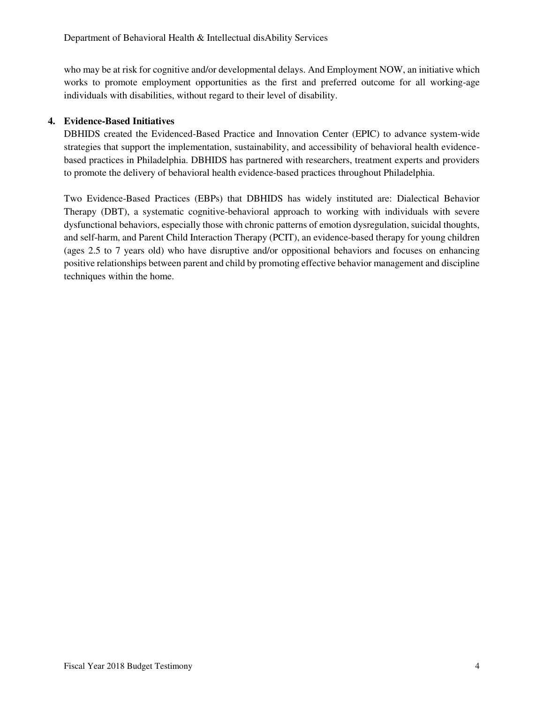who may be at risk for cognitive and/or developmental delays. And Employment NOW, an initiative which works to promote employment opportunities as the first and preferred outcome for all working-age individuals with disabilities, without regard to their level of disability.

## **4. Evidence-Based Initiatives**

DBHIDS created the Evidenced-Based Practice and Innovation Center (EPIC) to advance system-wide strategies that support the implementation, sustainability, and accessibility of behavioral health evidencebased practices in Philadelphia. DBHIDS has partnered with researchers, treatment experts and providers to promote the delivery of behavioral health evidence-based practices throughout Philadelphia.

Two Evidence-Based Practices (EBPs) that DBHIDS has widely instituted are: Dialectical Behavior Therapy (DBT), a systematic cognitive-behavioral approach to working with individuals with severe dysfunctional behaviors, especially those with chronic patterns of emotion dysregulation, suicidal thoughts, and self-harm, and Parent Child Interaction Therapy (PCIT), an evidence-based therapy for young children (ages 2.5 to 7 years old) who have disruptive and/or oppositional behaviors and focuses on enhancing positive relationships between parent and child by promoting effective behavior management and discipline techniques within the home.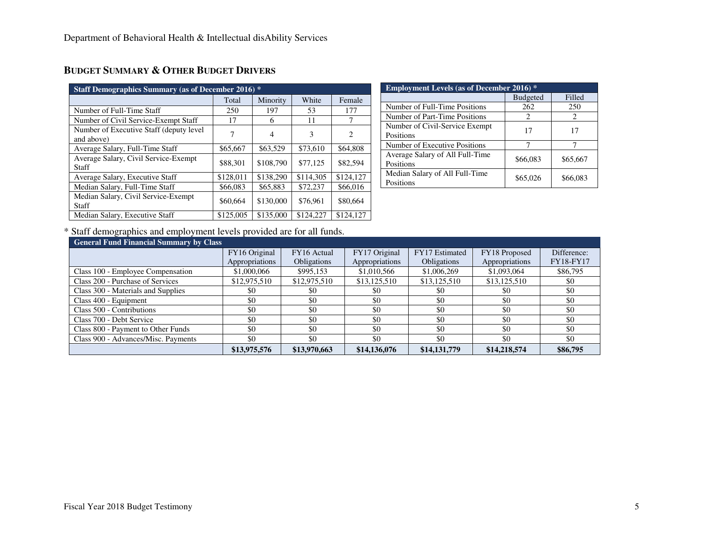| <b>Staff Demographics Summary (as of December 2016)</b> * |           |           |           |           |  |  |  |  |
|-----------------------------------------------------------|-----------|-----------|-----------|-----------|--|--|--|--|
|                                                           | Total     | Minority  | White     | Female    |  |  |  |  |
| Number of Full-Time Staff                                 | 250       | 197       | 53        | 177       |  |  |  |  |
| Number of Civil Service-Exempt Staff                      | 17        | 6         | 11        | 7         |  |  |  |  |
| Number of Executive Staff (deputy level)<br>and above)    | 7         | 4         | 3         | 2         |  |  |  |  |
| Average Salary, Full-Time Staff                           | \$65,667  | \$63,529  | \$73,610  | \$64,808  |  |  |  |  |
| Average Salary, Civil Service-Exempt<br>Staff             | \$88,301  | \$108,790 | \$77,125  | \$82,594  |  |  |  |  |
| Average Salary, Executive Staff                           | \$128,011 | \$138,290 | \$114,305 | \$124,127 |  |  |  |  |
| Median Salary, Full-Time Staff                            | \$66,083  | \$65,883  | \$72,237  | \$66,016  |  |  |  |  |
| Median Salary, Civil Service-Exempt<br>Staff              | \$60,664  | \$130,000 | \$76,961  | \$80,664  |  |  |  |  |
| Median Salary, Executive Staff                            | \$125,005 | \$135,000 | \$124,227 | \$124,127 |  |  |  |  |

|  | Budget Summary & Other Budget Drivers |
|--|---------------------------------------|
|--|---------------------------------------|

| <b>Employment Levels (as of December 2016)</b> * |                 |          |  |  |  |  |
|--------------------------------------------------|-----------------|----------|--|--|--|--|
|                                                  | <b>Budgeted</b> | Filled   |  |  |  |  |
| Number of Full-Time Positions                    | 262             | 250      |  |  |  |  |
| Number of Part-Time Positions                    | 2               | 2        |  |  |  |  |
| Number of Civil-Service Exempt                   | 17              | 17       |  |  |  |  |
| Positions                                        |                 |          |  |  |  |  |
| Number of Executive Positions                    |                 |          |  |  |  |  |
| Average Salary of All Full-Time                  | \$66,083        | \$65,667 |  |  |  |  |
| Positions                                        |                 |          |  |  |  |  |
| Median Salary of All Full-Time                   | \$65,026        | \$66,083 |  |  |  |  |
| Positions                                        |                 |          |  |  |  |  |

\* Staff demographics and employment levels provided are for all funds.

| <b>General Fund Financial Summary by Class</b> |                                               |                    |                |                    |                |                  |
|------------------------------------------------|-----------------------------------------------|--------------------|----------------|--------------------|----------------|------------------|
|                                                | FY17 Original<br>FY16 Original<br>FY16 Actual |                    | FY17 Estimated | FY18 Proposed      | Difference:    |                  |
|                                                | Appropriations                                | <b>Obligations</b> | Appropriations | <b>Obligations</b> | Appropriations | <b>FY18-FY17</b> |
| Class 100 - Employee Compensation              | \$1,000,066                                   | \$995,153          | \$1,010,566    | \$1,006,269        | \$1,093,064    | \$86,795         |
| Class 200 - Purchase of Services               | \$12,975,510                                  | \$12,975,510       | \$13,125,510   | \$13,125,510       | \$13,125,510   | \$0              |
| Class 300 - Materials and Supplies             | \$0                                           | \$0                | \$0            | \$0                | \$0            | \$0              |
| Class 400 - Equipment                          | \$0                                           | \$0                | \$0            | \$0                | \$0            | \$0              |
| Class 500 - Contributions                      | \$0                                           | \$0                | \$0            | \$0                | \$0            | \$0              |
| Class 700 - Debt Service                       | \$0                                           | \$0                | \$0            | \$0                | \$0            | \$0              |
| Class 800 - Payment to Other Funds             | \$0                                           | \$0                | \$0            | \$0                | \$0            | \$0              |
| Class 900 - Advances/Misc. Payments            | \$0                                           | \$0                | \$0            | \$0                | \$0            | \$0              |
|                                                | \$13,975,576                                  | \$13,970,663       | \$14,136,076   | \$14,131,779       | \$14,218,574   | \$86,795         |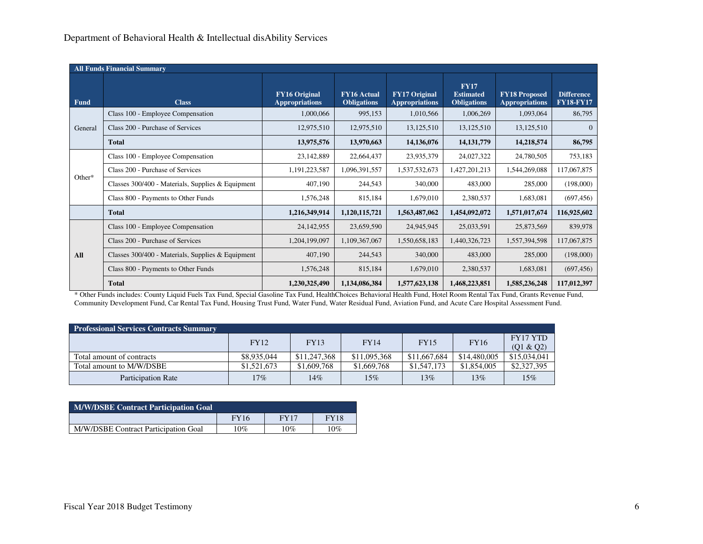|             | <b>All Funds Financial Summary</b>                |                                               |                                          |                                               |                                                       |                                               |                                       |  |
|-------------|---------------------------------------------------|-----------------------------------------------|------------------------------------------|-----------------------------------------------|-------------------------------------------------------|-----------------------------------------------|---------------------------------------|--|
| <b>Fund</b> | <b>Class</b>                                      | <b>FY16 Original</b><br><b>Appropriations</b> | <b>FY16 Actual</b><br><b>Obligations</b> | <b>FY17 Original</b><br><b>Appropriations</b> | <b>FY17</b><br><b>Estimated</b><br><b>Obligations</b> | <b>FY18 Proposed</b><br><b>Appropriations</b> | <b>Difference</b><br><b>FY18-FY17</b> |  |
|             | Class 100 - Employee Compensation                 | 1,000,066                                     | 995,153                                  | 1,010,566                                     | 1,006,269                                             | 1,093,064                                     | 86,795                                |  |
| General     | Class 200 - Purchase of Services                  | 12,975,510                                    | 12,975,510                               | 13,125,510                                    | 13,125,510                                            | 13,125,510                                    | $\overline{0}$                        |  |
|             | <b>Total</b>                                      | 13,975,576                                    | 13,970,663                               | 14,136,076                                    | 14, 131, 779                                          | 14,218,574                                    | 86,795                                |  |
|             | Class 100 - Employee Compensation                 | 23,142,889                                    | 22,664,437                               | 23,935,379                                    | 24,027,322                                            | 24,780,505                                    | 753,183                               |  |
|             | Class 200 - Purchase of Services                  | 1,191,223,587                                 | 1,096,391,557                            | 1,537,532,673                                 | 1,427,201,213                                         | 1,544,269,088                                 | 117,067,875                           |  |
| Other*      | Classes 300/400 - Materials, Supplies & Equipment | 407,190                                       | 244,543                                  | 340,000                                       | 483,000                                               | 285,000                                       | (198,000)                             |  |
|             | Class 800 - Payments to Other Funds               | 1,576,248                                     | 815,184                                  | 1,679,010                                     | 2,380,537                                             | 1,683,081                                     | (697, 456)                            |  |
|             | <b>Total</b>                                      | 1,216,349,914                                 | 1,120,115,721                            | 1,563,487,062                                 | 1,454,092,072                                         | 1,571,017,674                                 | 116,925,602                           |  |
|             | Class 100 - Employee Compensation                 | 24,142,955                                    | 23,659,590                               | 24,945,945                                    | 25,033,591                                            | 25,873,569                                    | 839,978                               |  |
|             | Class 200 - Purchase of Services                  | 1,204,199,097                                 | 1,109,367,067                            | 1,550,658,183                                 | 1,440,326,723                                         | 1,557,394,598                                 | 117,067,875                           |  |
| All         | Classes 300/400 - Materials, Supplies & Equipment | 407,190                                       | 244,543                                  | 340,000                                       | 483,000                                               | 285,000                                       | (198,000)                             |  |
|             | Class 800 - Payments to Other Funds               | 1,576,248                                     | 815,184                                  | 1,679,010                                     | 2,380,537                                             | 1,683,081                                     | (697, 456)                            |  |
|             | <b>Total</b>                                      | 1,230,325,490                                 | 1,134,086,384                            | 1,577,623,138                                 | 1,468,223,851                                         | 1,585,236,248                                 | 117,012,397                           |  |

\* Other Funds includes: County Liquid Fuels Tax Fund, Special Gasoline Tax Fund, HealthChoices Behavioral Health Fund, Hotel Room Rental Tax Fund, Grants Revenue Fund, Community Development Fund, Car Rental Tax Fund, Housing Trust Fund, Water Fund, Water Residual Fund, Aviation Fund, and Acute Care Hospital Assessment Fund.

| <b>Professional Services Contracts Summary</b> |             |              |              |              |              |                              |
|------------------------------------------------|-------------|--------------|--------------|--------------|--------------|------------------------------|
|                                                | <b>FY12</b> | <b>FY13</b>  | <b>FY14</b>  | <b>FY15</b>  | <b>FY16</b>  | <b>FY17 YTD</b><br>(Q1 & Q2) |
| Total amount of contracts                      | \$8,935,044 | \$11,247,368 | \$11,095,368 | \$11,667,684 | \$14,480,005 | \$15,034,041                 |
| Total amount to M/W/DSBE                       | \$1,521,673 | \$1,609,768  | \$1,669,768  | \$1,547,173  | \$1,854,005  | \$2,327,395                  |
| <b>Participation Rate</b>                      | 17%         | 14%          | 15%          | $13\%$       | 13%          | 15%                          |

| <b>M/W/DSBE Contract Participation Goal</b> |             |        |             |  |  |  |
|---------------------------------------------|-------------|--------|-------------|--|--|--|
|                                             | <b>FY16</b> | FY17   | <b>FY18</b> |  |  |  |
| M/W/DSBE Contract Participation Goal        | 10%         | $10\%$ | 10%         |  |  |  |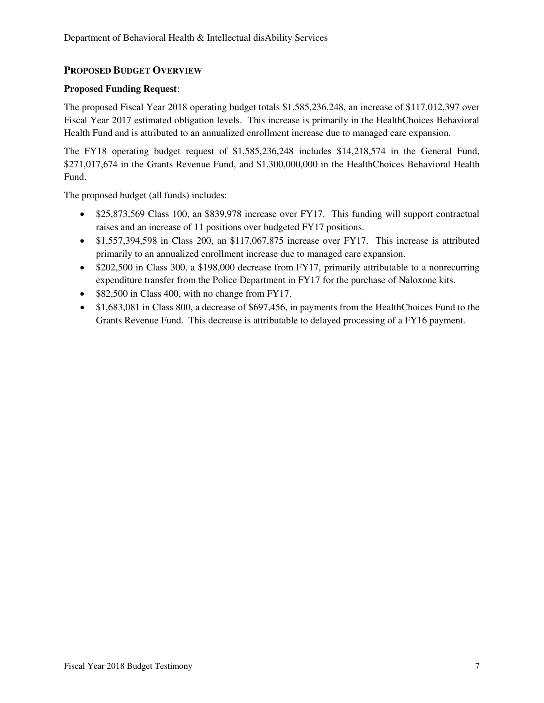### **PROPOSED BUDGET OVERVIEW**

### **Proposed Funding Request**:

The proposed Fiscal Year 2018 operating budget totals \$1,585,236,248, an increase of \$117,012,397 over Fiscal Year 2017 estimated obligation levels. This increase is primarily in the HealthChoices Behavioral Health Fund and is attributed to an annualized enrollment increase due to managed care expansion.

The FY18 operating budget request of \$1,585,236,248 includes \$14,218,574 in the General Fund, \$271,017,674 in the Grants Revenue Fund, and \$1,300,000,000 in the HealthChoices Behavioral Health Fund.

The proposed budget (all funds) includes:

- \$25,873,569 Class 100, an \$839,978 increase over FY17. This funding will support contractual raises and an increase of 11 positions over budgeted FY17 positions.
- \$1,557,394,598 in Class 200, an \$117,067,875 increase over FY17. This increase is attributed primarily to an annualized enrollment increase due to managed care expansion.
- \$202,500 in Class 300, a \$198,000 decrease from FY17, primarily attributable to a nonrecurring expenditure transfer from the Police Department in FY17 for the purchase of Naloxone kits.
- \$82,500 in Class 400, with no change from FY17.
- \$1,683,081 in Class 800, a decrease of \$697,456, in payments from the HealthChoices Fund to the Grants Revenue Fund. This decrease is attributable to delayed processing of a FY16 payment.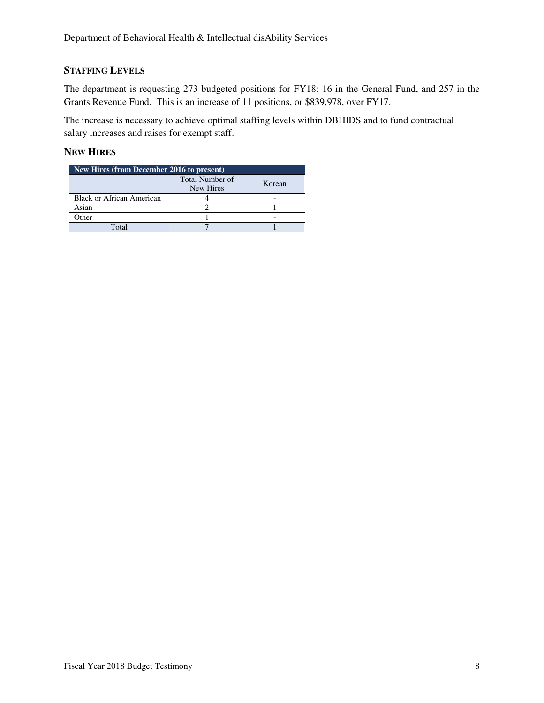# **STAFFING LEVELS**

The department is requesting 273 budgeted positions for FY18: 16 in the General Fund, and 257 in the Grants Revenue Fund. This is an increase of 11 positions, or \$839,978, over FY17.

The increase is necessary to achieve optimal staffing levels within DBHIDS and to fund contractual salary increases and raises for exempt staff.

## **NEW HIRES**

| New Hires (from December 2016 to present) |                                     |        |  |  |  |  |  |  |
|-------------------------------------------|-------------------------------------|--------|--|--|--|--|--|--|
|                                           | <b>Total Number of</b><br>New Hires | Korean |  |  |  |  |  |  |
| Black or African American                 |                                     |        |  |  |  |  |  |  |
| Asian                                     |                                     |        |  |  |  |  |  |  |
| Other                                     |                                     |        |  |  |  |  |  |  |
| $\Gamma$ otal                             |                                     |        |  |  |  |  |  |  |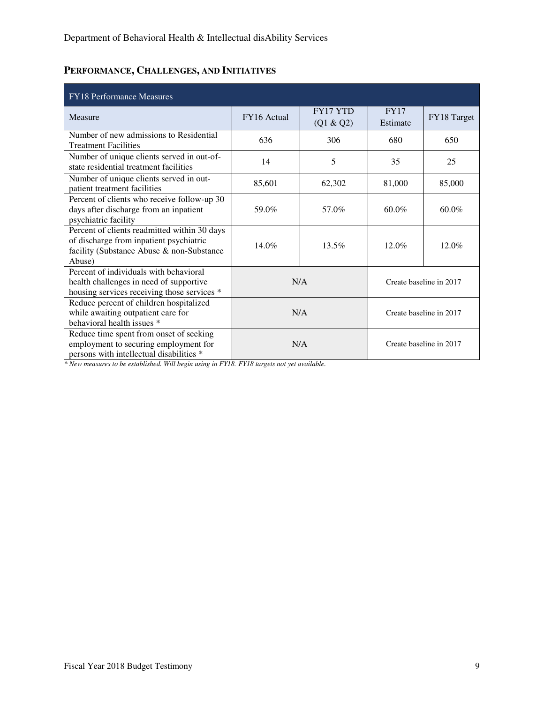# **PERFORMANCE, CHALLENGES, AND INITIATIVES**

| <b>FY18 Performance Measures</b>                                                                                                               |             |                              |                         |             |
|------------------------------------------------------------------------------------------------------------------------------------------------|-------------|------------------------------|-------------------------|-------------|
| Measure                                                                                                                                        | FY16 Actual | <b>FY17 YTD</b><br>(Q1 & Q2) | <b>FY17</b><br>Estimate | FY18 Target |
| Number of new admissions to Residential<br><b>Treatment Facilities</b>                                                                         | 636         | 306                          | 680                     | 650         |
| Number of unique clients served in out-of-<br>state residential treatment facilities                                                           | 14          | 5                            | 35                      | 25          |
| Number of unique clients served in out-<br>patient treatment facilities                                                                        | 85,601      | 62,302                       | 81,000                  | 85,000      |
| Percent of clients who receive follow-up 30<br>days after discharge from an inpatient<br>psychiatric facility                                  | 59.0%       | 57.0%                        | $60.0\%$                | 60.0%       |
| Percent of clients readmitted within 30 days<br>of discharge from inpatient psychiatric<br>facility (Substance Abuse & non-Substance<br>Abuse) | 14.0%       | 13.5%                        | 12.0%                   | 12.0%       |
| Percent of individuals with behavioral<br>health challenges in need of supportive<br>housing services receiving those services *               | N/A         |                              | Create baseline in 2017 |             |
| Reduce percent of children hospitalized<br>while awaiting outpatient care for<br>behavioral health issues *                                    | N/A         |                              | Create baseline in 2017 |             |
| Reduce time spent from onset of seeking<br>employment to securing employment for<br>persons with intellectual disabilities *                   | N/A         |                              | Create baseline in 2017 |             |

*\* New measures to be established. Will begin using in FY18. FY18 targets not yet available.*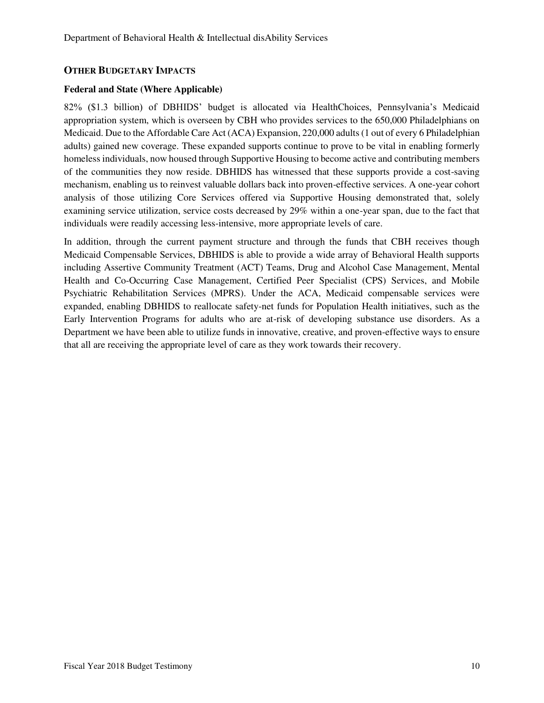### **OTHER BUDGETARY IMPACTS**

#### **Federal and State (Where Applicable)**

82% (\$1.3 billion) of DBHIDS' budget is allocated via HealthChoices, Pennsylvania's Medicaid appropriation system, which is overseen by CBH who provides services to the 650,000 Philadelphians on Medicaid. Due to the Affordable Care Act (ACA) Expansion, 220,000 adults (1 out of every 6 Philadelphian adults) gained new coverage. These expanded supports continue to prove to be vital in enabling formerly homeless individuals, now housed through Supportive Housing to become active and contributing members of the communities they now reside. DBHIDS has witnessed that these supports provide a cost-saving mechanism, enabling us to reinvest valuable dollars back into proven-effective services. A one-year cohort analysis of those utilizing Core Services offered via Supportive Housing demonstrated that, solely examining service utilization, service costs decreased by 29% within a one-year span, due to the fact that individuals were readily accessing less-intensive, more appropriate levels of care.

In addition, through the current payment structure and through the funds that CBH receives though Medicaid Compensable Services, DBHIDS is able to provide a wide array of Behavioral Health supports including Assertive Community Treatment (ACT) Teams, Drug and Alcohol Case Management, Mental Health and Co-Occurring Case Management, Certified Peer Specialist (CPS) Services, and Mobile Psychiatric Rehabilitation Services (MPRS). Under the ACA, Medicaid compensable services were expanded, enabling DBHIDS to reallocate safety-net funds for Population Health initiatives, such as the Early Intervention Programs for adults who are at-risk of developing substance use disorders. As a Department we have been able to utilize funds in innovative, creative, and proven-effective ways to ensure that all are receiving the appropriate level of care as they work towards their recovery.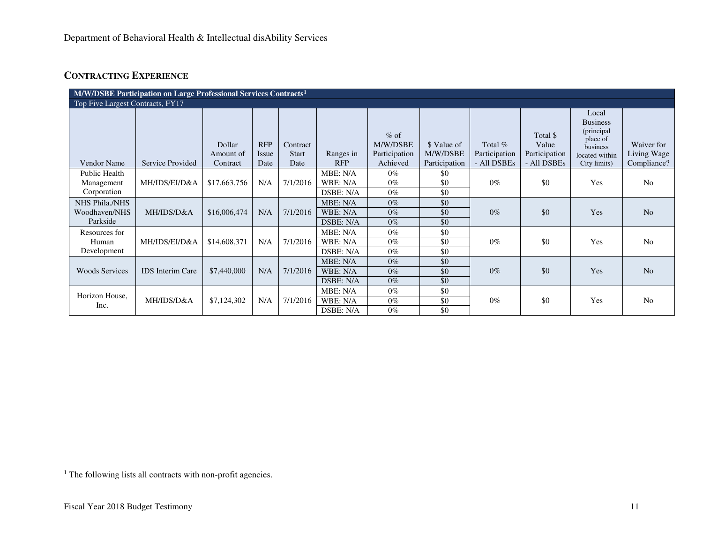# **CONTRACTING EXPERIENCE**

| M/W/DSBE Participation on Large Professional Services Contracts <sup>1</sup> |                         |                                 |                             |                                  |                                   |                                                 |                                          |                                         |                                                   |                                                                                                   |                                          |
|------------------------------------------------------------------------------|-------------------------|---------------------------------|-----------------------------|----------------------------------|-----------------------------------|-------------------------------------------------|------------------------------------------|-----------------------------------------|---------------------------------------------------|---------------------------------------------------------------------------------------------------|------------------------------------------|
| Top Five Largest Contracts, FY17                                             |                         |                                 |                             |                                  |                                   |                                                 |                                          |                                         |                                                   |                                                                                                   |                                          |
| Vendor Name                                                                  | Service Provided        | Dollar<br>Amount of<br>Contract | <b>RFP</b><br>Issue<br>Date | Contract<br><b>Start</b><br>Date | Ranges in<br><b>RFP</b>           | $%$ of<br>M/W/DSBE<br>Participation<br>Achieved | \$ Value of<br>M/W/DSBE<br>Participation | Total %<br>Participation<br>- All DSBEs | Total \$<br>Value<br>Participation<br>- All DSBEs | Local<br><b>Business</b><br>(principal)<br>place of<br>business<br>located within<br>City limits) | Waiver for<br>Living Wage<br>Compliance? |
| Public Health<br>Management<br>Corporation                                   | MH/IDS/EI/D&A           | \$17,663,756                    | N/A                         | 7/1/2016                         | MBE: N/A<br>WBE: N/A<br>DSBE: N/A | $0\%$<br>$0\%$<br>$0\%$                         | \$0<br>\$0<br>\$0                        | $0\%$                                   | \$0                                               | Yes                                                                                               | No                                       |
| NHS Phila./NHS<br>Woodhaven/NHS<br>Parkside                                  | MH/IDS/D&A              | \$16,006,474                    | N/A                         | 7/1/2016                         | MBE: N/A<br>WBE: N/A<br>DSBE: N/A | $0\%$<br>$0\%$<br>$0\%$                         | \$0<br>\$0<br>\$0                        | $0\%$                                   | \$0                                               | Yes                                                                                               | N <sub>o</sub>                           |
| Resources for<br>Human<br>Development                                        | MH/IDS/EI/D&A           | \$14,608,371                    | N/A                         | 7/1/2016                         | MBE: N/A<br>WBE: N/A<br>DSBE: N/A | $0\%$<br>$0\%$<br>$0\%$                         | \$0<br>\$0<br>\$0                        | $0\%$                                   | \$0                                               | Yes                                                                                               | N <sub>o</sub>                           |
| <b>Woods Services</b>                                                        | <b>IDS</b> Interim Care | \$7,440,000                     | N/A                         | 7/1/2016                         | MBE: N/A<br>WBE: N/A<br>DSBE: N/A | $0\%$<br>$0\%$<br>$0\%$                         | \$0<br>\$0<br>\$0                        | $0\%$                                   | \$0                                               | Yes                                                                                               | N <sub>o</sub>                           |
| Horizon House,<br>Inc.                                                       | MH/IDS/D&A              | \$7,124,302                     | N/A                         | 7/1/2016                         | MBE: N/A<br>WBE: N/A<br>DSBE: N/A | $0\%$<br>$0\%$<br>$0\%$                         | \$0<br>\$0<br>\$0                        | $0\%$                                   | \$0                                               | Yes                                                                                               | N <sub>o</sub>                           |

<sup>&</sup>lt;sup>1</sup> The following lists all contracts with non-profit agencies.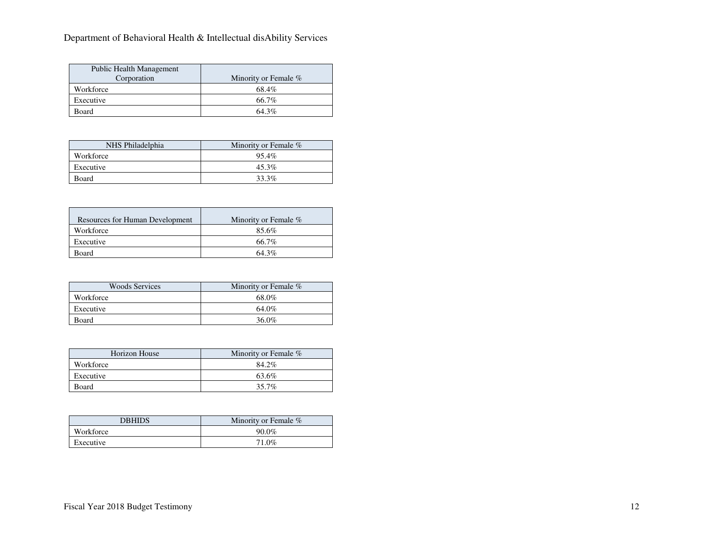# Department of Behavioral Health & Intellectual disAbility Services

| Public Health Management<br>Corporation | Minority or Female % |
|-----------------------------------------|----------------------|
| Workforce                               | 68.4%                |
| Executive                               | 66.7%                |
| Board                                   | $64.3\%$             |

| NHS Philadelphia | Minority or Female % |
|------------------|----------------------|
| Workforce        | 95.4%                |
| Executive        | 45.3%                |
| Board            | 33.3%                |

| Resources for Human Development | Minority or Female % |
|---------------------------------|----------------------|
| Workforce                       | 85.6%                |
| Executive                       | 66.7%                |
| Board                           | $64.3\%$             |

| <b>Woods Services</b> | Minority or Female % |  |  |  |
|-----------------------|----------------------|--|--|--|
| Workforce             | 68.0%                |  |  |  |
| Executive             | 64.0%                |  |  |  |
| Board                 | 36.0%                |  |  |  |

| Horizon House | Minority or Female % |  |  |  |
|---------------|----------------------|--|--|--|
| Workforce     | 84.2%                |  |  |  |
| Executive     | 63.6%                |  |  |  |
| Board         | 35.7%                |  |  |  |

| <b>DBHIDS</b> | Minority or Female % |  |  |
|---------------|----------------------|--|--|
| Workforce     | $90.0\%$             |  |  |
| Executive     | 71.0%                |  |  |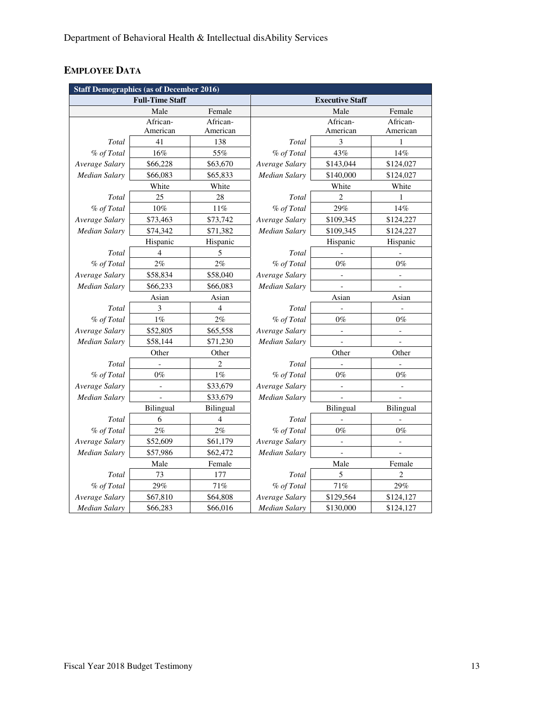# **EMPLOYEE DATA**

| <b>Staff Demographics (as of December 2016)</b> |                          |                |                        |                |                |  |  |  |
|-------------------------------------------------|--------------------------|----------------|------------------------|----------------|----------------|--|--|--|
|                                                 | <b>Full-Time Staff</b>   |                | <b>Executive Staff</b> |                |                |  |  |  |
|                                                 | Male                     | Female         |                        | Female         |                |  |  |  |
|                                                 | African-                 | African-       |                        | African-       | African-       |  |  |  |
|                                                 | American                 | American       |                        | American       | American       |  |  |  |
| Total                                           | 41                       | 138            | Total                  | 3              | 1              |  |  |  |
| % of Total                                      | 16%                      | 55%            | % of Total             | 43%            | 14%            |  |  |  |
| Average Salary                                  | \$66,228                 | \$63,670       | Average Salary         | \$143,044      | \$124,027      |  |  |  |
| Median Salary                                   | \$66,083                 | \$65,833       | Median Salary          | \$140,000      | \$124,027      |  |  |  |
|                                                 | White                    | White          |                        | White          | White          |  |  |  |
| Total                                           | 25                       | 28             | Total                  | $\overline{2}$ | 1              |  |  |  |
| % of Total                                      | 10%                      | 11%            | % of Total             | 29%            | 14%            |  |  |  |
| Average Salary                                  | \$73,463                 | \$73,742       | Average Salary         | \$109,345      | \$124,227      |  |  |  |
| <b>Median Salary</b>                            | \$74,342                 | \$71,382       | Median Salary          | \$109,345      | \$124,227      |  |  |  |
|                                                 | Hispanic                 | Hispanic       | Hispanic<br>Hispanic   |                |                |  |  |  |
| Total                                           | $\overline{4}$           | 5              | Total                  |                |                |  |  |  |
| % of Total                                      | 2%                       | 2%             | % of Total             | $0\%$          | $0\%$          |  |  |  |
| Average Salary                                  | \$58,834                 | \$58,040       | Average Salary         |                |                |  |  |  |
| Median Salary                                   | \$66,233                 | \$66,083       | Median Salary          |                |                |  |  |  |
|                                                 | Asian                    | Asian          | Asian                  |                | Asian          |  |  |  |
| Total                                           | 3                        | $\overline{4}$ | Total                  |                |                |  |  |  |
| % of Total                                      | $1\%$                    | 2%             | % of Total             | $0\%$          | $0\%$          |  |  |  |
| Average Salary                                  | \$52,805                 | \$65,558       | Average Salary         |                |                |  |  |  |
| Median Salary                                   | \$58,144                 | \$71,230       | Median Salary          |                |                |  |  |  |
|                                                 | Other                    | Other          | Other<br>Other         |                |                |  |  |  |
| Total                                           |                          | 2              | Total                  |                |                |  |  |  |
| % of Total                                      | $0\%$                    | $1\%$          | % of Total             | $0\%$          | $0\%$          |  |  |  |
| Average Salary                                  | $\overline{\phantom{a}}$ | \$33,679       | Average Salary         | $\overline{a}$ | $\overline{a}$ |  |  |  |
| <b>Median Salary</b>                            | $\frac{1}{2}$            | \$33,679       | <b>Median Salary</b>   |                |                |  |  |  |
|                                                 | Bilingual                | Bilingual      |                        | Bilingual      | Bilingual      |  |  |  |
| Total                                           | 6                        | $\overline{4}$ | Total                  |                |                |  |  |  |
| % of Total                                      | 2%                       | $2\%$          | % of Total             | $0\%$          | $0\%$          |  |  |  |
| Average Salary                                  | \$52,609                 | \$61,179       | Average Salary         |                |                |  |  |  |
| Median Salary                                   | \$57,986                 | \$62,472       | Median Salary          |                |                |  |  |  |
|                                                 | Male<br>Female           |                | Male<br>Female         |                |                |  |  |  |
| Total                                           | 73                       | 177            | Total                  | 5              | $\overline{c}$ |  |  |  |
| % of Total                                      | 29%                      | 71%            | % of Total             | 71%            | 29%            |  |  |  |
| Average Salary                                  | \$67,810                 | \$64,808       | Average Salary         | \$129,564      | \$124,127      |  |  |  |
| <b>Median Salary</b>                            | \$66,283                 | \$66,016       | Median Salary          | \$130,000      | \$124,127      |  |  |  |